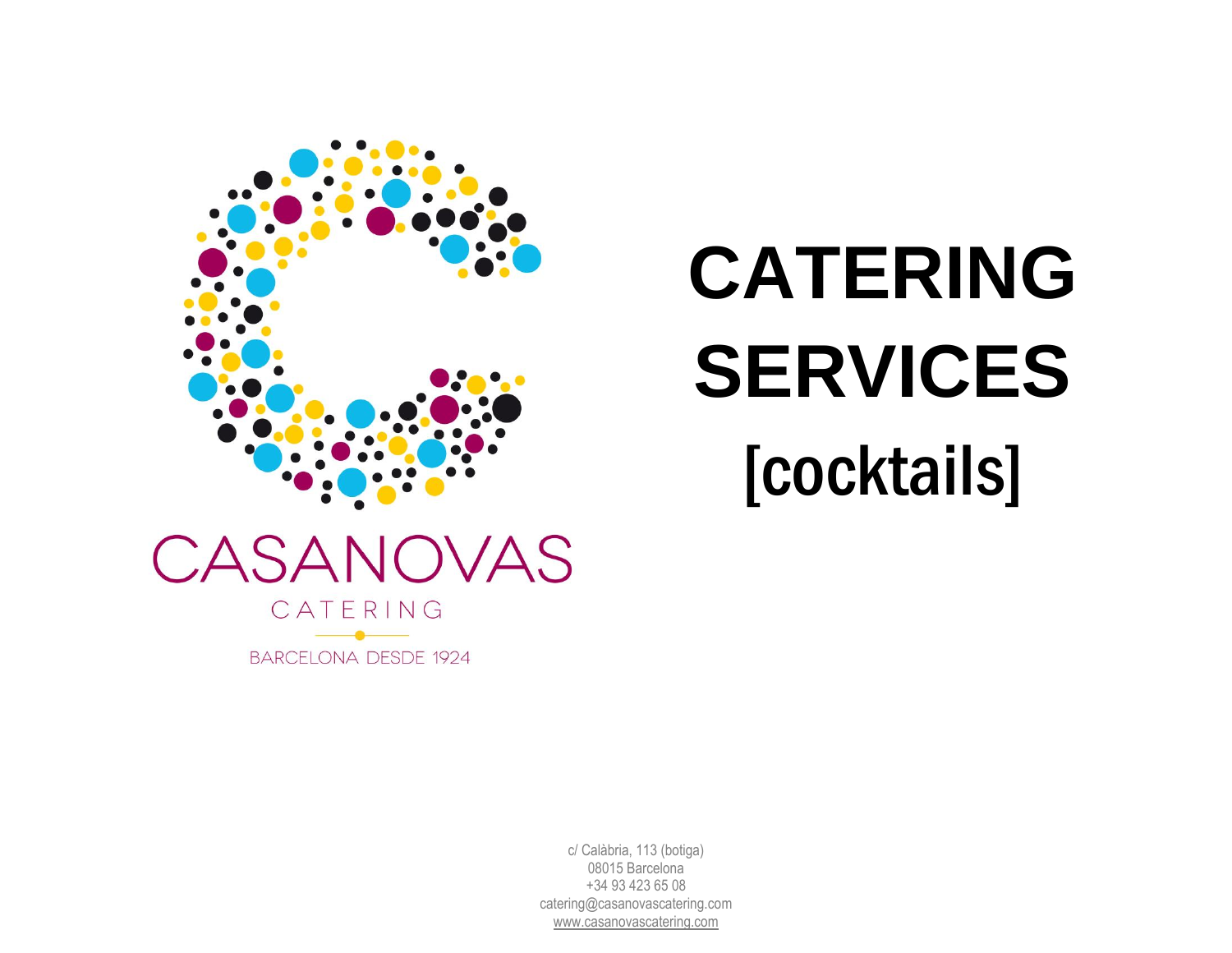

# **CATERING SERVICES** [cocktails]

c/ Calàbria, 113 (botiga) 08015 Barcelona +34 93 423 65 08 [catering@casanovascatering.com](mailto:catering@casanovascatering.com) [www.casanovascatering.com](http://www.casanovascatering.com/)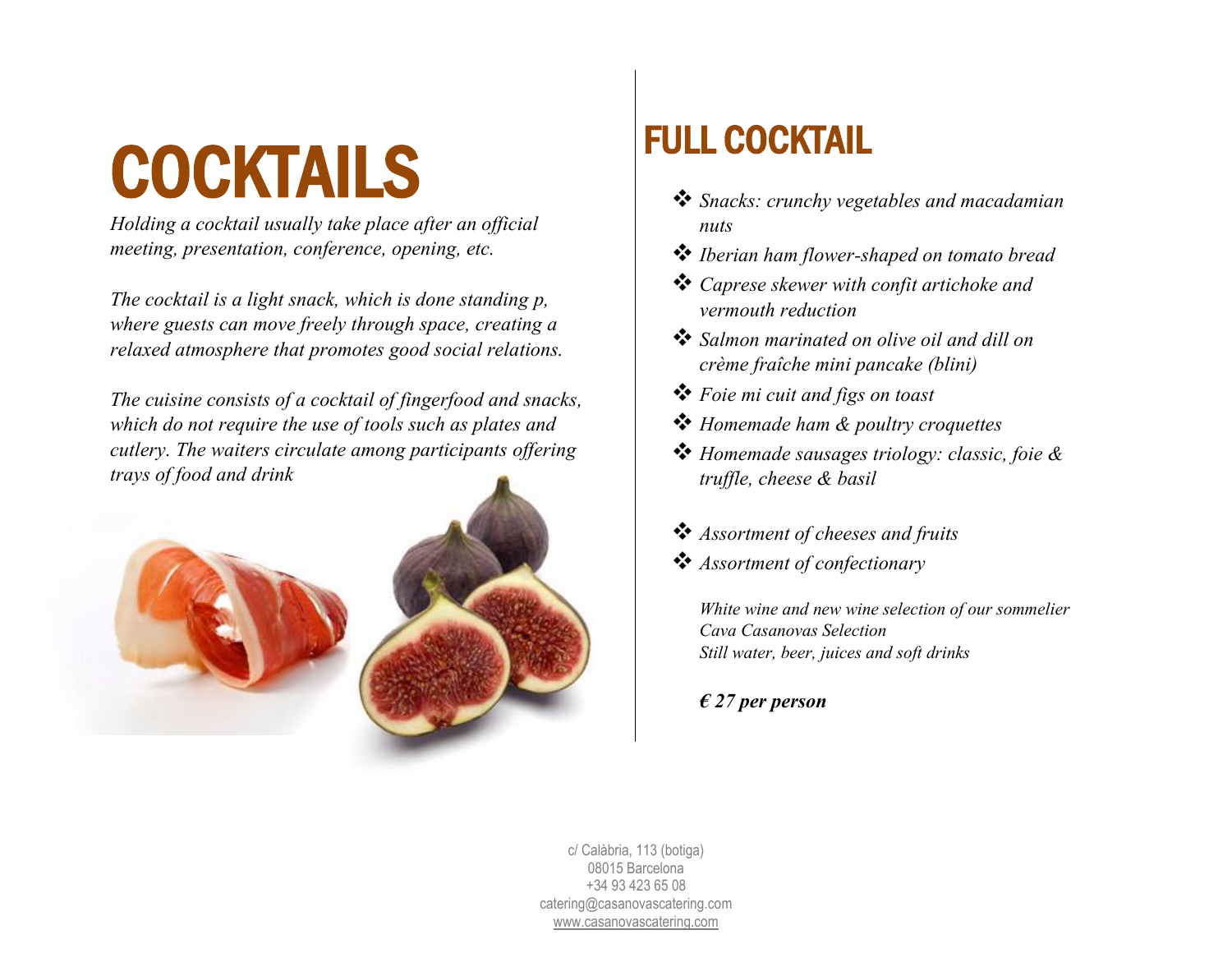### COCKTAILS

*Holding a cocktail usually take place after an official meeting, presentation, conference, opening, etc.*

*The cocktail is a light snack, which is done standing p, where guests can move freely through space, creating a relaxed atmosphere that promotes good social relations.*

*The cuisine consists of a cocktail of fingerfood and snacks, which do not require the use of tools such as plates and cutlery. The waiters circulate among participants offering trays of food and drink*





### FULL COCKTAIL

- ❖ *Snacks: crunchy vegetables and macadamian nuts*
- ❖ *Iberian ham flower-shaped on tomato bread*
- ❖ *Caprese skewer with confit artichoke and vermouth reduction*
- ❖ *Salmon marinated on olive oil and dill on crème fraîche mini pancake (blini)*
- ❖ *Foie mi cuit and figs on toast*
- ❖ *Homemade ham & poultry croquettes*
- ❖ *Homemade sausages triology: classic, foie & truffle, cheese & basil*
- ❖ *Assortment of cheeses and fruits*
- ❖ *Assortment of confectionary*

*White wine and new wine selection of our sommelier Cava Casanovas Selection Still water, beer, juices and soft drinks*

*€ 27 per person*

c/ Calàbria, 113 (botiga) 08015 Barcelona +34 93 423 65 08 [catering@casanovascatering.com](mailto:catering@casanovascatering.com) [www.casanovascatering.com](http://www.casanovascatering.com/)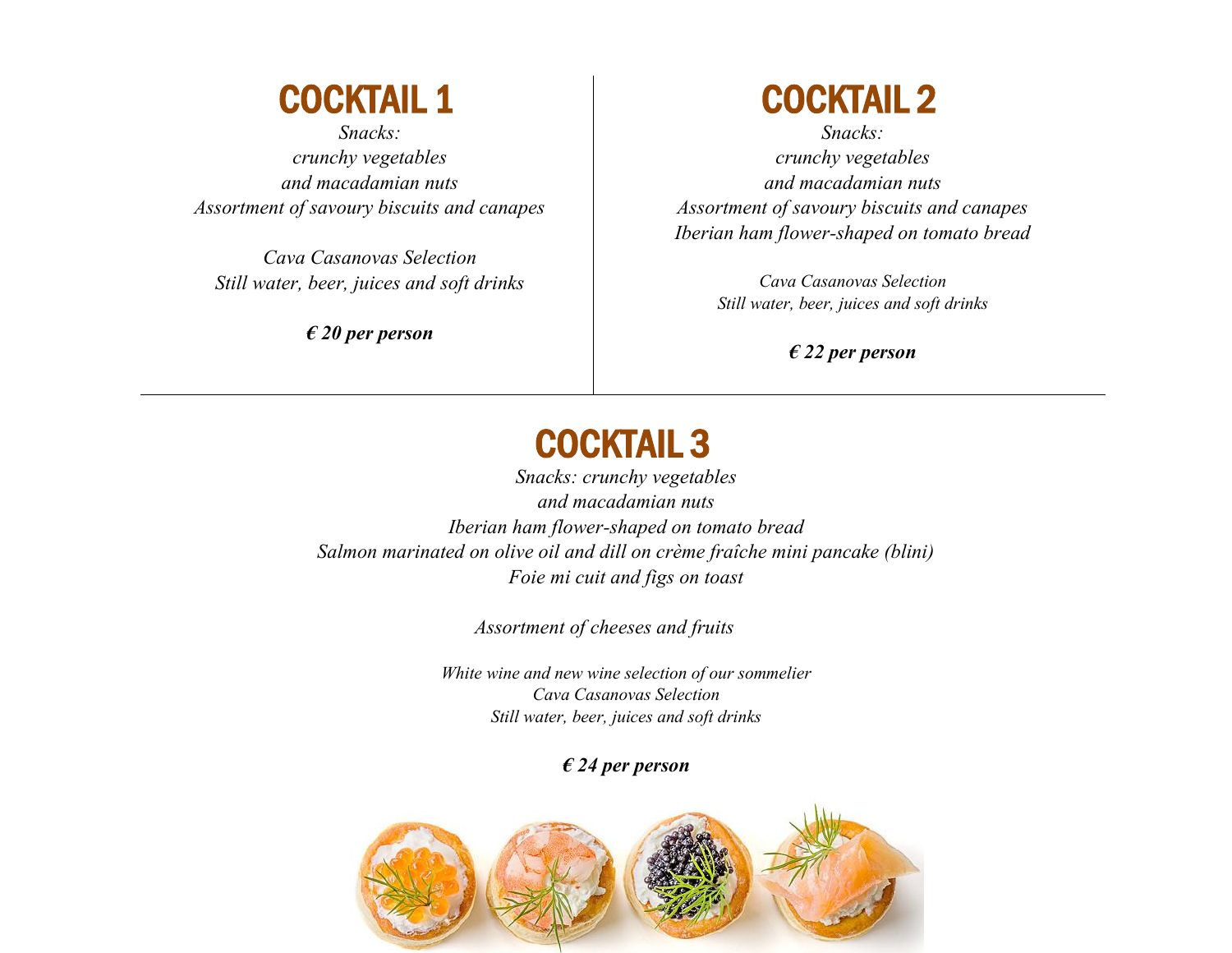#### COCKTAIL 1

*Snacks: crunchy vegetables and macadamian nuts Assortment of savoury biscuits and canapes* 

*Cava Casanovas Selection Still water, beer, juices and soft drinks*

*€ 20 per person*

#### COCKTAIL 2

*Snacks: crunchy vegetables and macadamian nuts Assortment of savoury biscuits and canapes Iberian ham flower-shaped on tomato bread*

> *Cava Casanovas Selection Still water, beer, juices and soft drinks*

> > *€ 22 per person*

#### COCKTAIL 3

*Snacks: crunchy vegetables and macadamian nuts Iberian ham flower-shaped on tomato bread Salmon marinated on olive oil and dill on crème fraîche mini pancake (blini) Foie mi cuit and figs on toast*

*Assortment of cheeses and fruits*

*White wine and new wine selection of our sommelier Cava Casanovas Selection Still water, beer, juices and soft drinks*

#### *€ 24 per person*